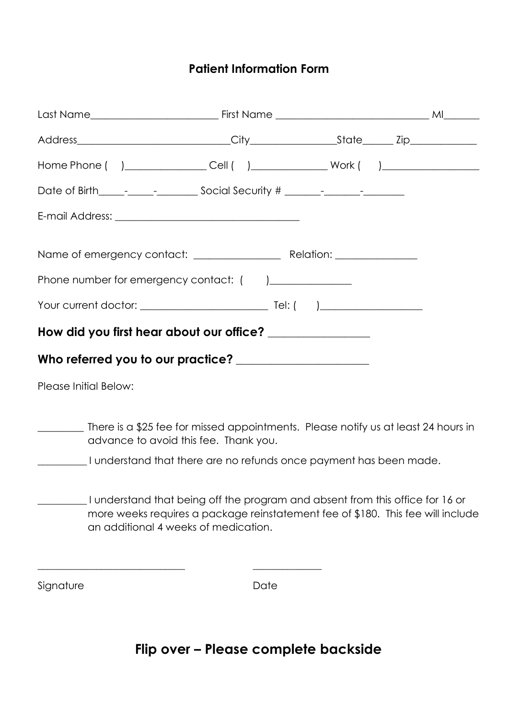## **Patient Information Form**

|                       | Home Phone ( ) _________________Cell ( ) _______________Work ( ) _______________                                                                                                                         |      |  |  |  |  |
|-----------------------|----------------------------------------------------------------------------------------------------------------------------------------------------------------------------------------------------------|------|--|--|--|--|
|                       |                                                                                                                                                                                                          |      |  |  |  |  |
|                       |                                                                                                                                                                                                          |      |  |  |  |  |
|                       |                                                                                                                                                                                                          |      |  |  |  |  |
|                       | Phone number for emergency contact: () ______________                                                                                                                                                    |      |  |  |  |  |
|                       |                                                                                                                                                                                                          |      |  |  |  |  |
|                       | How did you first hear about our office? _______________                                                                                                                                                 |      |  |  |  |  |
|                       | Who referred you to our practice? ______________________                                                                                                                                                 |      |  |  |  |  |
| Please Initial Below: |                                                                                                                                                                                                          |      |  |  |  |  |
|                       | There is a \$25 fee for missed appointments. Please notify us at least 24 hours in<br>advance to avoid this fee. Thank you.                                                                              |      |  |  |  |  |
|                       | __________I understand that there are no refunds once payment has been made.                                                                                                                             |      |  |  |  |  |
|                       | I understand that being off the program and absent from this office for 16 or<br>more weeks requires a package reinstatement fee of \$180. This fee will include<br>an additional 4 weeks of medication. |      |  |  |  |  |
| Signature             |                                                                                                                                                                                                          | Date |  |  |  |  |

## **Flip over – Please complete backside**